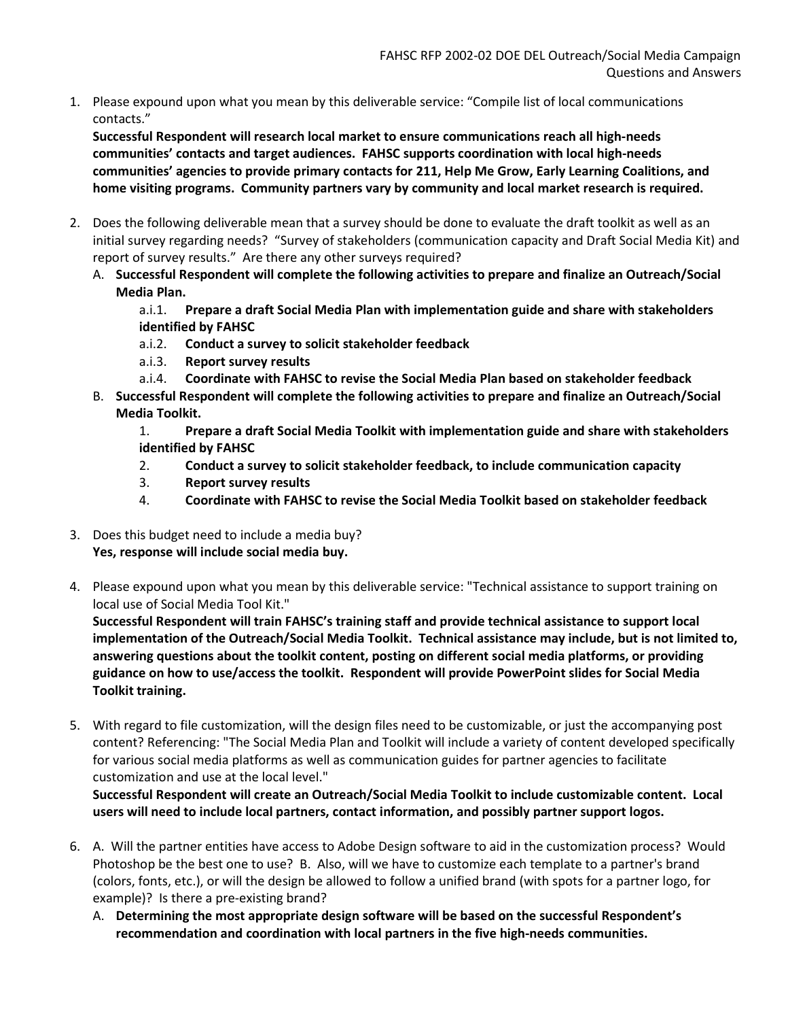1. Please expound upon what you mean by this deliverable service: "Compile list of local communications contacts."

Successful Respondent will research local market to ensure communications reach all high-needs communities' contacts and target audiences. FAHSC supports coordination with local high-needs communities' agencies to provide primary contacts for 211, Help Me Grow, Early Learning Coalitions, and home visiting programs. Community partners vary by community and local market research is required.

- 2. Does the following deliverable mean that a survey should be done to evaluate the draft toolkit as well as an initial survey regarding needs? "Survey of stakeholders (communication capacity and Draft Social Media Kit) and report of survey results." Are there any other surveys required?
	- A. Successful Respondent will complete the following activities to prepare and finalize an Outreach/Social Media Plan.

a.i.1. Prepare a draft Social Media Plan with implementation guide and share with stakeholders identified by FAHSC

- a.i.2. Conduct a survey to solicit stakeholder feedback
- a.i.3. Report survey results
- a.i.4. Coordinate with FAHSC to revise the Social Media Plan based on stakeholder feedback
- B. Successful Respondent will complete the following activities to prepare and finalize an Outreach/Social Media Toolkit.

1. Prepare a draft Social Media Toolkit with implementation guide and share with stakeholders identified by FAHSC

- 2. Conduct a survey to solicit stakeholder feedback, to include communication capacity
- 3. Report survey results
- 4. Coordinate with FAHSC to revise the Social Media Toolkit based on stakeholder feedback
- 3. Does this budget need to include a media buy? Yes, response will include social media buy.
- 4. Please expound upon what you mean by this deliverable service: "Technical assistance to support training on local use of Social Media Tool Kit."

Successful Respondent will train FAHSC's training staff and provide technical assistance to support local implementation of the Outreach/Social Media Toolkit. Technical assistance may include, but is not limited to, answering questions about the toolkit content, posting on different social media platforms, or providing guidance on how to use/access the toolkit. Respondent will provide PowerPoint slides for Social Media Toolkit training.

5. With regard to file customization, will the design files need to be customizable, or just the accompanying post content? Referencing: "The Social Media Plan and Toolkit will include a variety of content developed specifically for various social media platforms as well as communication guides for partner agencies to facilitate customization and use at the local level."

Successful Respondent will create an Outreach/Social Media Toolkit to include customizable content. Local users will need to include local partners, contact information, and possibly partner support logos.

- 6. A. Will the partner entities have access to Adobe Design software to aid in the customization process? Would Photoshop be the best one to use? B. Also, will we have to customize each template to a partner's brand (colors, fonts, etc.), or will the design be allowed to follow a unified brand (with spots for a partner logo, for example)? Is there a pre-existing brand?
	- A. Determining the most appropriate design software will be based on the successful Respondent's recommendation and coordination with local partners in the five high-needs communities.